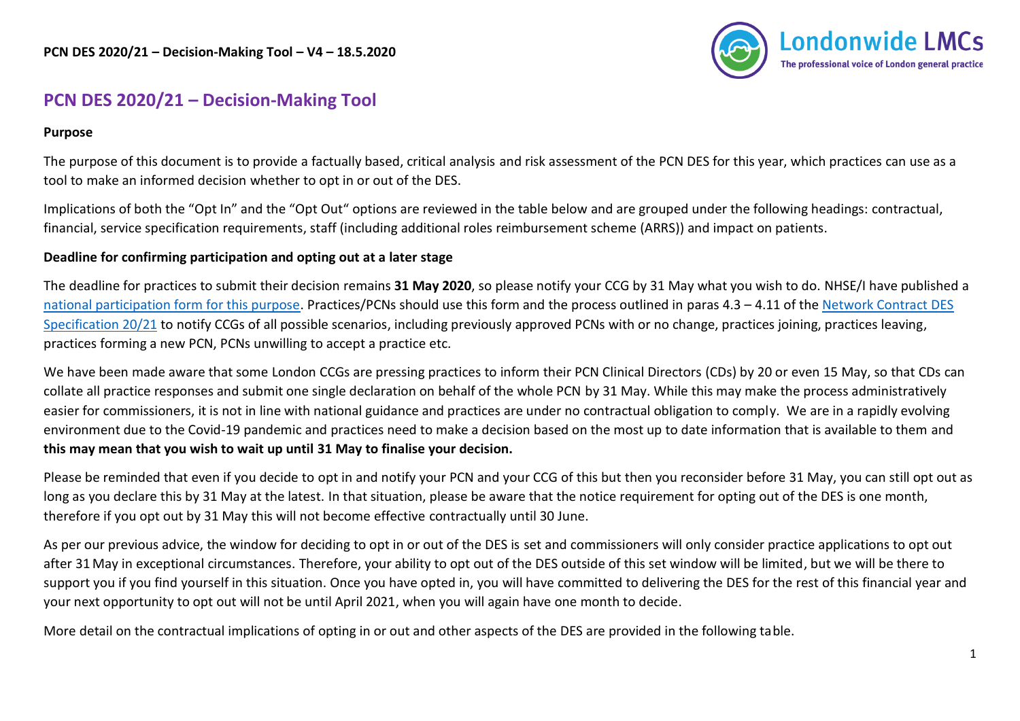

## **PCN DES 2020/21 – Decision-Making Tool**

## **Purpose**

The purpose of this document is to provide a factually based, critical analysis and risk assessment of the PCN DES for this year, which practices can use as a tool to make an informed decision whether to opt in or out of the DES.

Implications of both the "Opt In" and the "Opt Out" options are reviewed in the table below and are grouped under the following headings: contractual, financial, service specification requirements, staff (including additional roles reimbursement scheme (ARRS)) and impact on patients.

## **Deadline for confirming participation and opting out at a later stage**

The deadline for practices to submit their decision remains **31 May 2020**, so please notify your CCG by 31 May what you wish to do. NHSE/I have published a [national participation form for this purpose.](https://www.england.nhs.uk/publication/des-participation-form-2020-21/) Practices/PCNs should use this form and the process outlined in paras 4.3 – 4.11 of the Network Contract DES [Specification 20/21](https://www.lmc.org.uk/visageimages/PCN%20DES/Network-contract-des-specification-pcn-requirements-entitlements-2020-21.pdf#page=7) to notify CCGs of all possible scenarios, including previously approved PCNs with or no change, practices joining, practices leaving, practices forming a new PCN, PCNs unwilling to accept a practice etc.

We have been made aware that some London CCGs are pressing practices to inform their PCN Clinical Directors (CDs) by 20 or even 15 May, so that CDs can collate all practice responses and submit one single declaration on behalf of the whole PCN by 31 May. While this may make the process administratively easier for commissioners, it is not in line with national guidance and practices are under no contractual obligation to comply. We are in a rapidly evolving environment due to the Covid-19 pandemic and practices need to make a decision based on the most up to date information that is available to them and **this may mean that you wish to wait up until 31 May to finalise your decision.**

Please be reminded that even if you decide to opt in and notify your PCN and your CCG of this but then you reconsider before 31 May, you can still opt out as long as you declare this by 31 May at the latest. In that situation, please be aware that the notice requirement for opting out of the DES is one month, therefore if you opt out by 31 May this will not become effective contractually until 30 June.

As per our previous advice, the window for deciding to opt in or out of the DES is set and commissioners will only consider practice applications to opt out after 31 May in exceptional circumstances. Therefore, your ability to opt out of the DES outside of this set window will be limited, but we will be there to support you if you find yourself in this situation. Once you have opted in, you will have committed to delivering the DES for the rest of this financial year and your next opportunity to opt out will not be until April 2021, when you will again have one month to decide.

More detail on the contractual implications of opting in or out and other aspects of the DES are provided in the following table.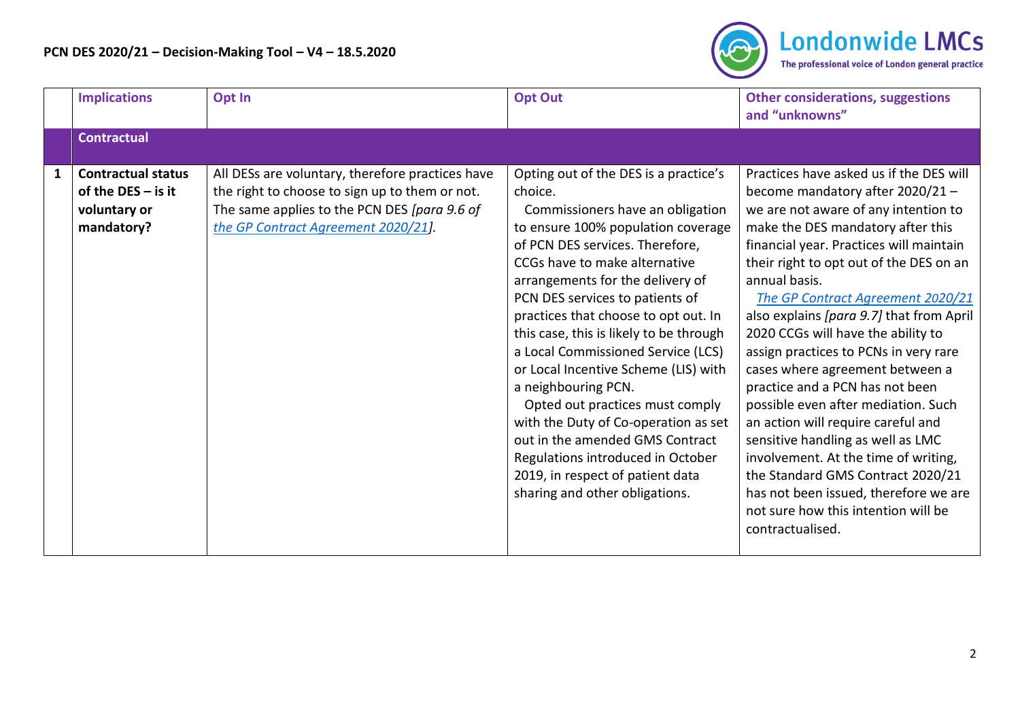

|              | <b>Implications</b>                                                             | Opt In                                                                                                                                                                                    | <b>Opt Out</b>                                                                                                                                                                                                                                                                                                                                                                                                                                                                                                                                                                                                                                                                         | <b>Other considerations, suggestions</b><br>and "unknowns"                                                                                                                                                                                                                                                                                                                                                                                                                                                                                                                                                                                                                                                                                                                                               |
|--------------|---------------------------------------------------------------------------------|-------------------------------------------------------------------------------------------------------------------------------------------------------------------------------------------|----------------------------------------------------------------------------------------------------------------------------------------------------------------------------------------------------------------------------------------------------------------------------------------------------------------------------------------------------------------------------------------------------------------------------------------------------------------------------------------------------------------------------------------------------------------------------------------------------------------------------------------------------------------------------------------|----------------------------------------------------------------------------------------------------------------------------------------------------------------------------------------------------------------------------------------------------------------------------------------------------------------------------------------------------------------------------------------------------------------------------------------------------------------------------------------------------------------------------------------------------------------------------------------------------------------------------------------------------------------------------------------------------------------------------------------------------------------------------------------------------------|
|              | <b>Contractual</b>                                                              |                                                                                                                                                                                           |                                                                                                                                                                                                                                                                                                                                                                                                                                                                                                                                                                                                                                                                                        |                                                                                                                                                                                                                                                                                                                                                                                                                                                                                                                                                                                                                                                                                                                                                                                                          |
| $\mathbf{1}$ | <b>Contractual status</b><br>of the DES $-$ is it<br>voluntary or<br>mandatory? | All DESs are voluntary, therefore practices have<br>the right to choose to sign up to them or not.<br>The same applies to the PCN DES [para 9.6 of<br>the GP Contract Agreement 2020/21]. | Opting out of the DES is a practice's<br>choice.<br>Commissioners have an obligation<br>to ensure 100% population coverage<br>of PCN DES services. Therefore,<br>CCGs have to make alternative<br>arrangements for the delivery of<br>PCN DES services to patients of<br>practices that choose to opt out. In<br>this case, this is likely to be through<br>a Local Commissioned Service (LCS)<br>or Local Incentive Scheme (LIS) with<br>a neighbouring PCN.<br>Opted out practices must comply<br>with the Duty of Co-operation as set<br>out in the amended GMS Contract<br>Regulations introduced in October<br>2019, in respect of patient data<br>sharing and other obligations. | Practices have asked us if the DES will<br>become mandatory after 2020/21 -<br>we are not aware of any intention to<br>make the DES mandatory after this<br>financial year. Practices will maintain<br>their right to opt out of the DES on an<br>annual basis.<br>The GP Contract Agreement 2020/21<br>also explains [para 9.7] that from April<br>2020 CCGs will have the ability to<br>assign practices to PCNs in very rare<br>cases where agreement between a<br>practice and a PCN has not been<br>possible even after mediation. Such<br>an action will require careful and<br>sensitive handling as well as LMC<br>involvement. At the time of writing,<br>the Standard GMS Contract 2020/21<br>has not been issued, therefore we are<br>not sure how this intention will be<br>contractualised. |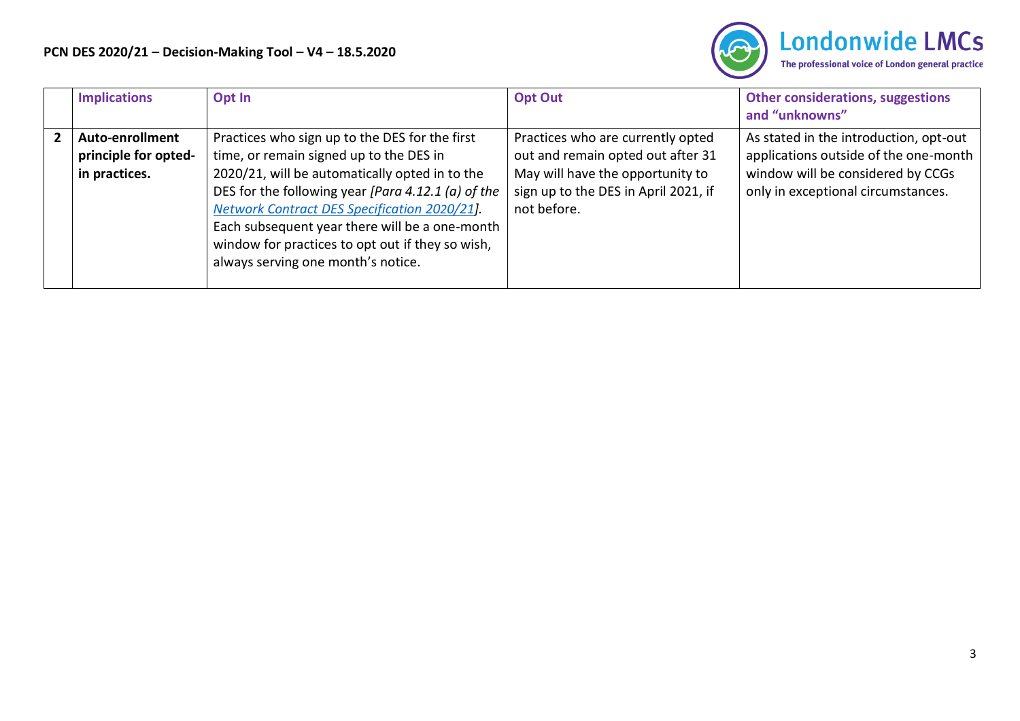

|                | <b>Implications</b>                                      | Opt In                                                                                                                                                                                                                                                                                                                                                                                        | <b>Opt Out</b>                                                                                                                                                    | <b>Other considerations, suggestions</b><br>and "unknowns"                                                                                                 |
|----------------|----------------------------------------------------------|-----------------------------------------------------------------------------------------------------------------------------------------------------------------------------------------------------------------------------------------------------------------------------------------------------------------------------------------------------------------------------------------------|-------------------------------------------------------------------------------------------------------------------------------------------------------------------|------------------------------------------------------------------------------------------------------------------------------------------------------------|
| $\overline{2}$ | Auto-enrollment<br>principle for opted-<br>in practices. | Practices who sign up to the DES for the first<br>time, or remain signed up to the DES in<br>2020/21, will be automatically opted in to the<br>DES for the following year [Para 4.12.1 (a) of the<br>Network Contract DES Specification 2020/21].<br>Each subsequent year there will be a one-month<br>window for practices to opt out if they so wish,<br>always serving one month's notice. | Practices who are currently opted<br>out and remain opted out after 31<br>May will have the opportunity to<br>sign up to the DES in April 2021, if<br>not before. | As stated in the introduction, opt-out<br>applications outside of the one-month<br>window will be considered by CCGs<br>only in exceptional circumstances. |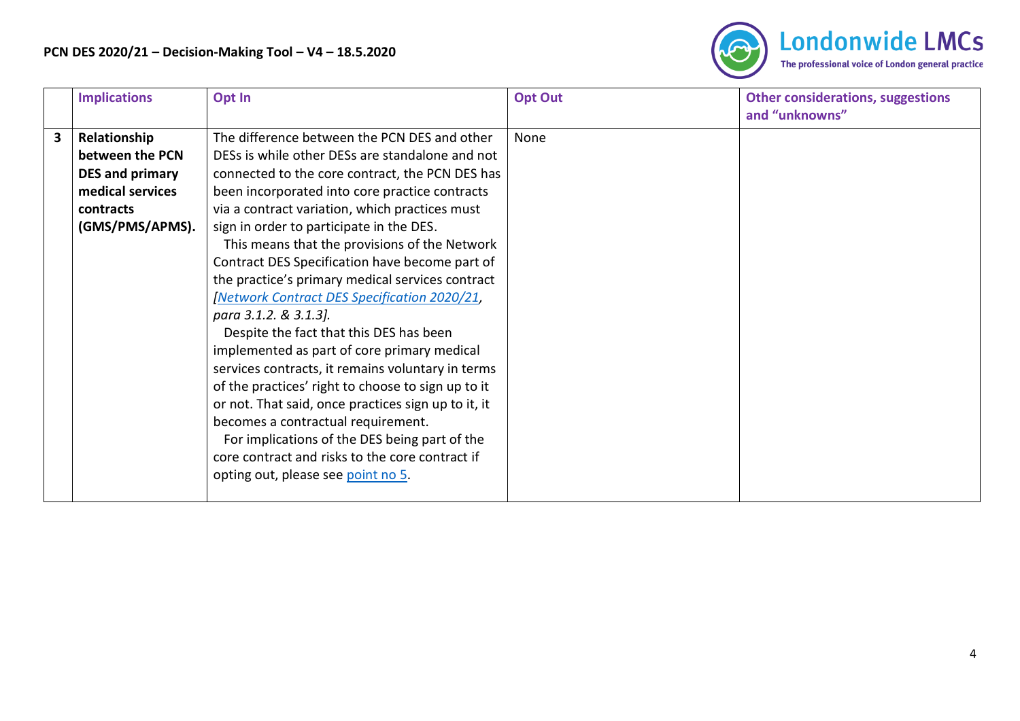

| <b>Implications</b>                                                                                                               | Opt In                                                                                                                                                                                                                                                                                                                                                                                                                                                                                                                                                                                                                                                                                                                                                                                                                                                                                                                                                                               | <b>Opt Out</b> | <b>Other considerations, suggestions</b><br>and "unknowns" |
|-----------------------------------------------------------------------------------------------------------------------------------|--------------------------------------------------------------------------------------------------------------------------------------------------------------------------------------------------------------------------------------------------------------------------------------------------------------------------------------------------------------------------------------------------------------------------------------------------------------------------------------------------------------------------------------------------------------------------------------------------------------------------------------------------------------------------------------------------------------------------------------------------------------------------------------------------------------------------------------------------------------------------------------------------------------------------------------------------------------------------------------|----------------|------------------------------------------------------------|
| $\overline{\mathbf{3}}$<br>Relationship<br>between the PCN<br>DES and primary<br>medical services<br>contracts<br>(GMS/PMS/APMS). | The difference between the PCN DES and other<br>DESs is while other DESs are standalone and not<br>connected to the core contract, the PCN DES has<br>been incorporated into core practice contracts<br>via a contract variation, which practices must<br>sign in order to participate in the DES.<br>This means that the provisions of the Network<br>Contract DES Specification have become part of<br>the practice's primary medical services contract<br><b>Network Contract DES Specification 2020/21,</b><br>para 3.1.2. & 3.1.3].<br>Despite the fact that this DES has been<br>implemented as part of core primary medical<br>services contracts, it remains voluntary in terms<br>of the practices' right to choose to sign up to it<br>or not. That said, once practices sign up to it, it<br>becomes a contractual requirement.<br>For implications of the DES being part of the<br>core contract and risks to the core contract if<br>opting out, please see point no 5. | None           |                                                            |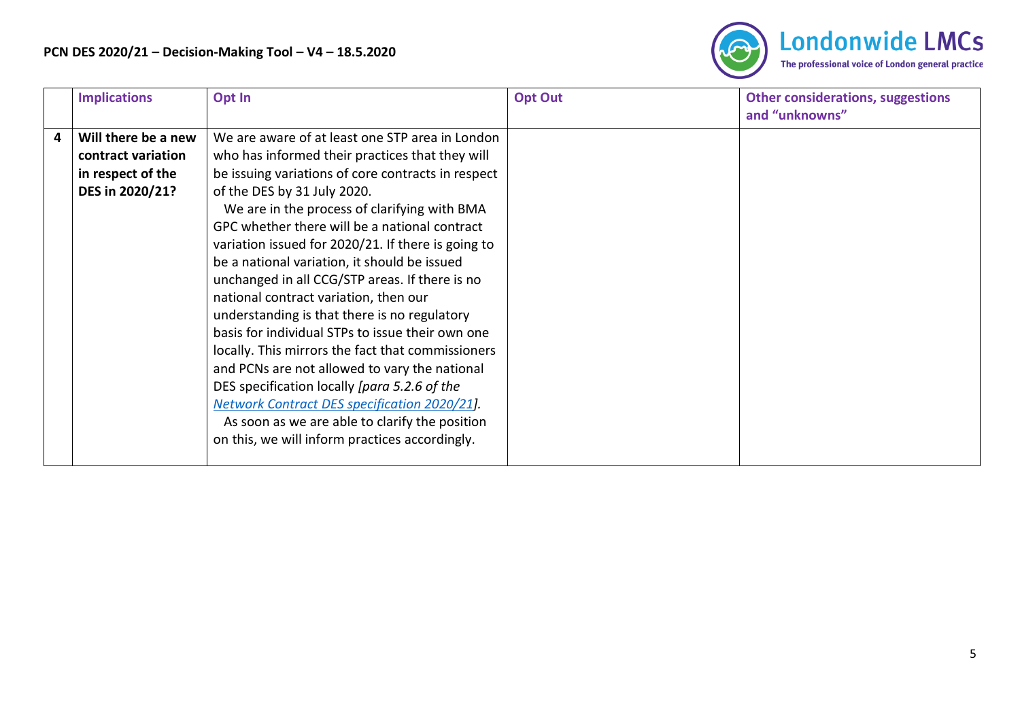

|   | <b>Implications</b> | Opt In                                             | <b>Opt Out</b> | <b>Other considerations, suggestions</b><br>and "unknowns" |
|---|---------------------|----------------------------------------------------|----------------|------------------------------------------------------------|
| 4 | Will there be a new | We are aware of at least one STP area in London    |                |                                                            |
|   | contract variation  | who has informed their practices that they will    |                |                                                            |
|   | in respect of the   | be issuing variations of core contracts in respect |                |                                                            |
|   | DES in 2020/21?     | of the DES by 31 July 2020.                        |                |                                                            |
|   |                     | We are in the process of clarifying with BMA       |                |                                                            |
|   |                     | GPC whether there will be a national contract      |                |                                                            |
|   |                     | variation issued for 2020/21. If there is going to |                |                                                            |
|   |                     | be a national variation, it should be issued       |                |                                                            |
|   |                     | unchanged in all CCG/STP areas. If there is no     |                |                                                            |
|   |                     | national contract variation, then our              |                |                                                            |
|   |                     | understanding is that there is no regulatory       |                |                                                            |
|   |                     | basis for individual STPs to issue their own one   |                |                                                            |
|   |                     | locally. This mirrors the fact that commissioners  |                |                                                            |
|   |                     | and PCNs are not allowed to vary the national      |                |                                                            |
|   |                     | DES specification locally [para 5.2.6 of the       |                |                                                            |
|   |                     | Network Contract DES specification 2020/21].       |                |                                                            |
|   |                     | As soon as we are able to clarify the position     |                |                                                            |
|   |                     | on this, we will inform practices accordingly.     |                |                                                            |
|   |                     |                                                    |                |                                                            |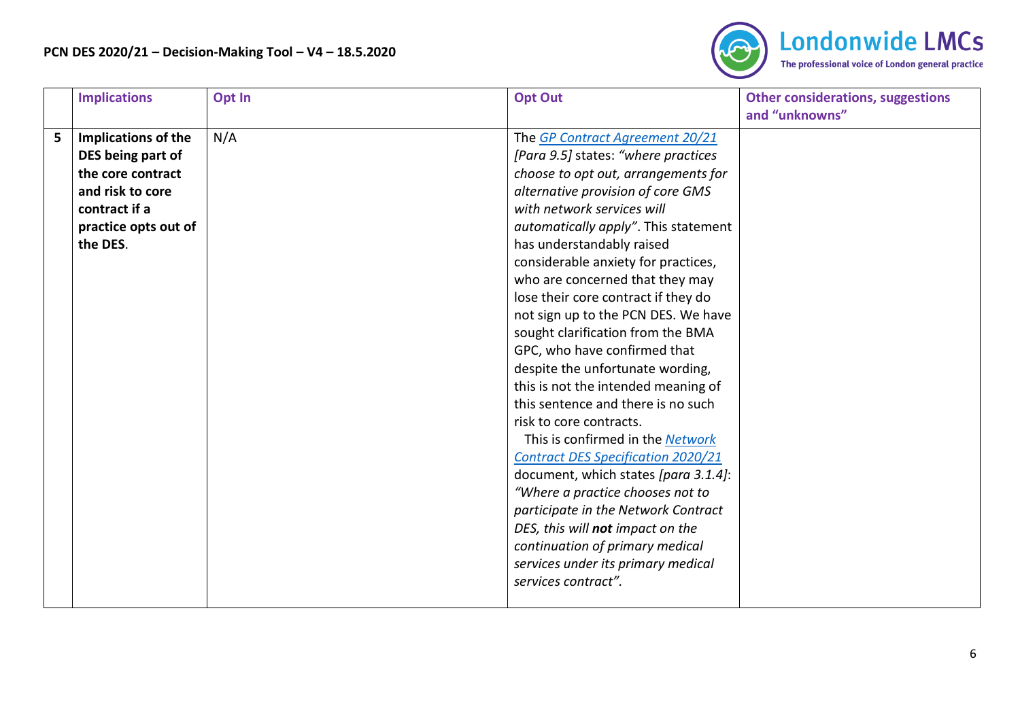

<span id="page-5-0"></span>

|   | <b>Implications</b>  | Opt In | <b>Opt Out</b>                                                  | <b>Other considerations, suggestions</b><br>and "unknowns" |
|---|----------------------|--------|-----------------------------------------------------------------|------------------------------------------------------------|
| 5 | Implications of the  | N/A    | The GP Contract Agreement 20/21                                 |                                                            |
|   | DES being part of    |        | [Para 9.5] states: "where practices                             |                                                            |
|   | the core contract    |        | choose to opt out, arrangements for                             |                                                            |
|   | and risk to core     |        |                                                                 |                                                            |
|   | contract if a        |        | alternative provision of core GMS<br>with network services will |                                                            |
|   |                      |        |                                                                 |                                                            |
|   | practice opts out of |        | automatically apply". This statement                            |                                                            |
|   | the DES.             |        | has understandably raised                                       |                                                            |
|   |                      |        | considerable anxiety for practices,                             |                                                            |
|   |                      |        | who are concerned that they may                                 |                                                            |
|   |                      |        | lose their core contract if they do                             |                                                            |
|   |                      |        | not sign up to the PCN DES. We have                             |                                                            |
|   |                      |        | sought clarification from the BMA                               |                                                            |
|   |                      |        | GPC, who have confirmed that                                    |                                                            |
|   |                      |        | despite the unfortunate wording,                                |                                                            |
|   |                      |        | this is not the intended meaning of                             |                                                            |
|   |                      |        | this sentence and there is no such                              |                                                            |
|   |                      |        | risk to core contracts.                                         |                                                            |
|   |                      |        | This is confirmed in the Network                                |                                                            |
|   |                      |        | <b>Contract DES Specification 2020/21</b>                       |                                                            |
|   |                      |        | document, which states [para 3.1.4]:                            |                                                            |
|   |                      |        | "Where a practice chooses not to                                |                                                            |
|   |                      |        | participate in the Network Contract                             |                                                            |
|   |                      |        | DES, this will not impact on the                                |                                                            |
|   |                      |        | continuation of primary medical                                 |                                                            |
|   |                      |        | services under its primary medical                              |                                                            |
|   |                      |        | services contract".                                             |                                                            |
|   |                      |        |                                                                 |                                                            |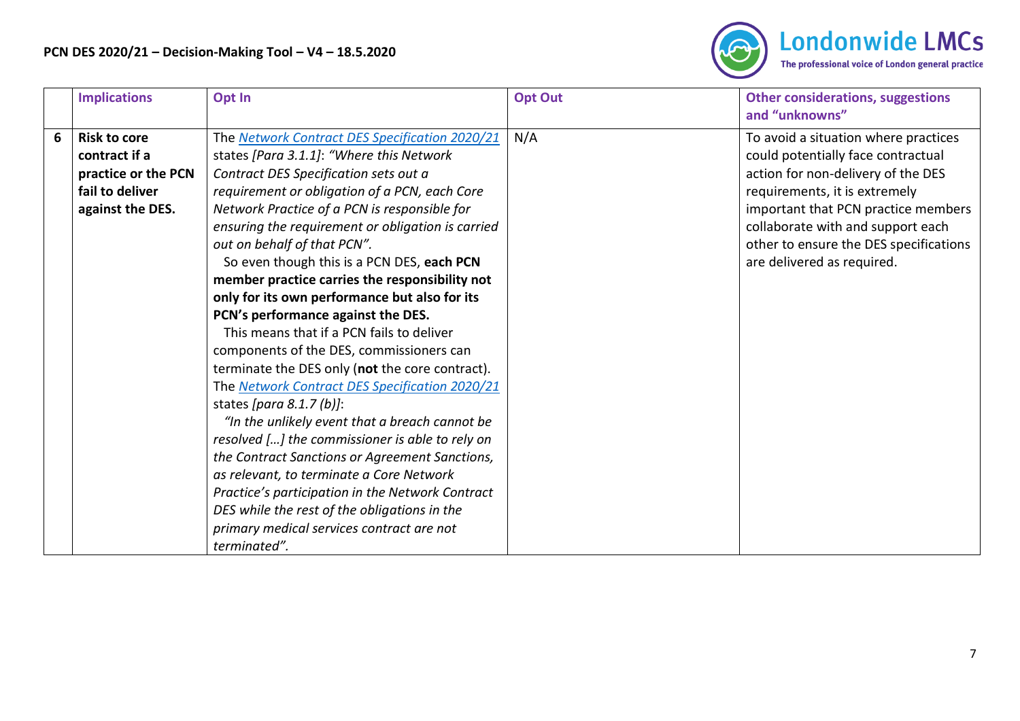

|   | <b>Implications</b> | Opt In                                            | <b>Opt Out</b> | <b>Other considerations, suggestions</b><br>and "unknowns" |
|---|---------------------|---------------------------------------------------|----------------|------------------------------------------------------------|
| 6 | <b>Risk to core</b> | The Network Contract DES Specification 2020/21    | N/A            | To avoid a situation where practices                       |
|   | contract if a       | states [Para 3.1.1]: "Where this Network          |                | could potentially face contractual                         |
|   | practice or the PCN | Contract DES Specification sets out a             |                | action for non-delivery of the DES                         |
|   | fail to deliver     | requirement or obligation of a PCN, each Core     |                | requirements, it is extremely                              |
|   | against the DES.    | Network Practice of a PCN is responsible for      |                | important that PCN practice members                        |
|   |                     | ensuring the requirement or obligation is carried |                | collaborate with and support each                          |
|   |                     | out on behalf of that PCN".                       |                | other to ensure the DES specifications                     |
|   |                     | So even though this is a PCN DES, each PCN        |                | are delivered as required.                                 |
|   |                     | member practice carries the responsibility not    |                |                                                            |
|   |                     | only for its own performance but also for its     |                |                                                            |
|   |                     | PCN's performance against the DES.                |                |                                                            |
|   |                     | This means that if a PCN fails to deliver         |                |                                                            |
|   |                     | components of the DES, commissioners can          |                |                                                            |
|   |                     | terminate the DES only (not the core contract).   |                |                                                            |
|   |                     | The Network Contract DES Specification 2020/21    |                |                                                            |
|   |                     | states [para $8.1.7$ (b)]:                        |                |                                                            |
|   |                     | "In the unlikely event that a breach cannot be    |                |                                                            |
|   |                     | resolved [] the commissioner is able to rely on   |                |                                                            |
|   |                     | the Contract Sanctions or Agreement Sanctions,    |                |                                                            |
|   |                     | as relevant, to terminate a Core Network          |                |                                                            |
|   |                     | Practice's participation in the Network Contract  |                |                                                            |
|   |                     | DES while the rest of the obligations in the      |                |                                                            |
|   |                     | primary medical services contract are not         |                |                                                            |
|   |                     | terminated".                                      |                |                                                            |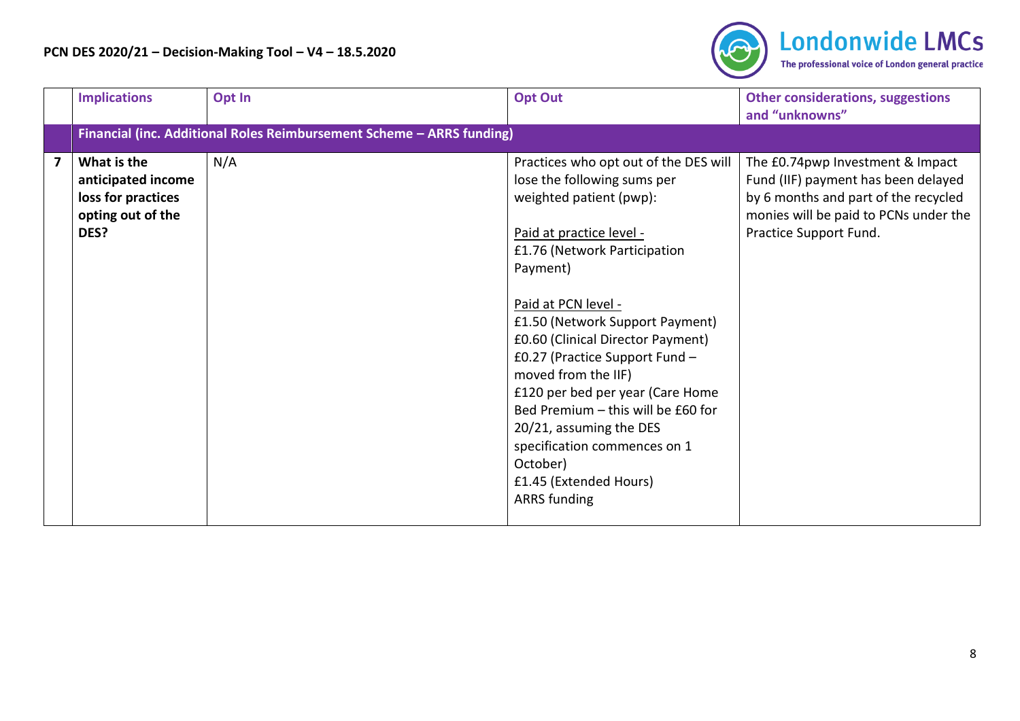

|                | <b>Implications</b>                                                                  | Opt In                                                                | <b>Opt Out</b>                                                                                                                                                                                                                                                                                                                                                                                                                                                                                                                    | <b>Other considerations, suggestions</b><br>and "unknowns"                                                                                                                         |
|----------------|--------------------------------------------------------------------------------------|-----------------------------------------------------------------------|-----------------------------------------------------------------------------------------------------------------------------------------------------------------------------------------------------------------------------------------------------------------------------------------------------------------------------------------------------------------------------------------------------------------------------------------------------------------------------------------------------------------------------------|------------------------------------------------------------------------------------------------------------------------------------------------------------------------------------|
|                |                                                                                      | Financial (inc. Additional Roles Reimbursement Scheme - ARRS funding) |                                                                                                                                                                                                                                                                                                                                                                                                                                                                                                                                   |                                                                                                                                                                                    |
| $\overline{7}$ | What is the<br>anticipated income<br>loss for practices<br>opting out of the<br>DES? | N/A                                                                   | Practices who opt out of the DES will<br>lose the following sums per<br>weighted patient (pwp):<br>Paid at practice level -<br>£1.76 (Network Participation<br>Payment)<br>Paid at PCN level -<br>£1.50 (Network Support Payment)<br>£0.60 (Clinical Director Payment)<br>£0.27 (Practice Support Fund -<br>moved from the IIF)<br>£120 per bed per year (Care Home<br>Bed Premium - this will be £60 for<br>20/21, assuming the DES<br>specification commences on 1<br>October)<br>£1.45 (Extended Hours)<br><b>ARRS</b> funding | The £0.74pwp Investment & Impact<br>Fund (IIF) payment has been delayed<br>by 6 months and part of the recycled<br>monies will be paid to PCNs under the<br>Practice Support Fund. |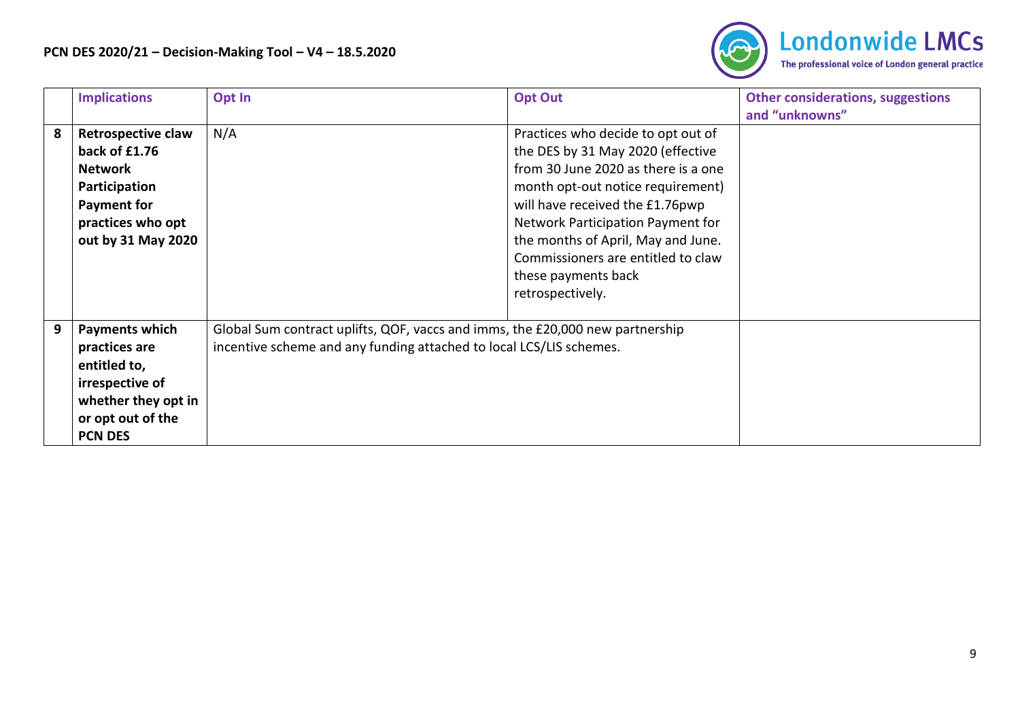

|   | <b>Implications</b>                                                                                                                            | Opt In                                                                                                                                               | <b>Opt Out</b>                                                                                                                                                                                                                                                                                                                                     | <b>Other considerations, suggestions</b><br>and "unknowns" |
|---|------------------------------------------------------------------------------------------------------------------------------------------------|------------------------------------------------------------------------------------------------------------------------------------------------------|----------------------------------------------------------------------------------------------------------------------------------------------------------------------------------------------------------------------------------------------------------------------------------------------------------------------------------------------------|------------------------------------------------------------|
| 8 | <b>Retrospective claw</b><br>back of £1.76<br><b>Network</b><br>Participation<br><b>Payment for</b><br>practices who opt<br>out by 31 May 2020 | N/A                                                                                                                                                  | Practices who decide to opt out of<br>the DES by 31 May 2020 (effective<br>from 30 June 2020 as there is a one<br>month opt-out notice requirement)<br>will have received the £1.76pwp<br>Network Participation Payment for<br>the months of April, May and June.<br>Commissioners are entitled to claw<br>these payments back<br>retrospectively. |                                                            |
| 9 | <b>Payments which</b><br>practices are<br>entitled to,<br>irrespective of<br>whether they opt in<br>or opt out of the<br><b>PCN DES</b>        | Global Sum contract uplifts, QOF, vaccs and imms, the £20,000 new partnership<br>incentive scheme and any funding attached to local LCS/LIS schemes. |                                                                                                                                                                                                                                                                                                                                                    |                                                            |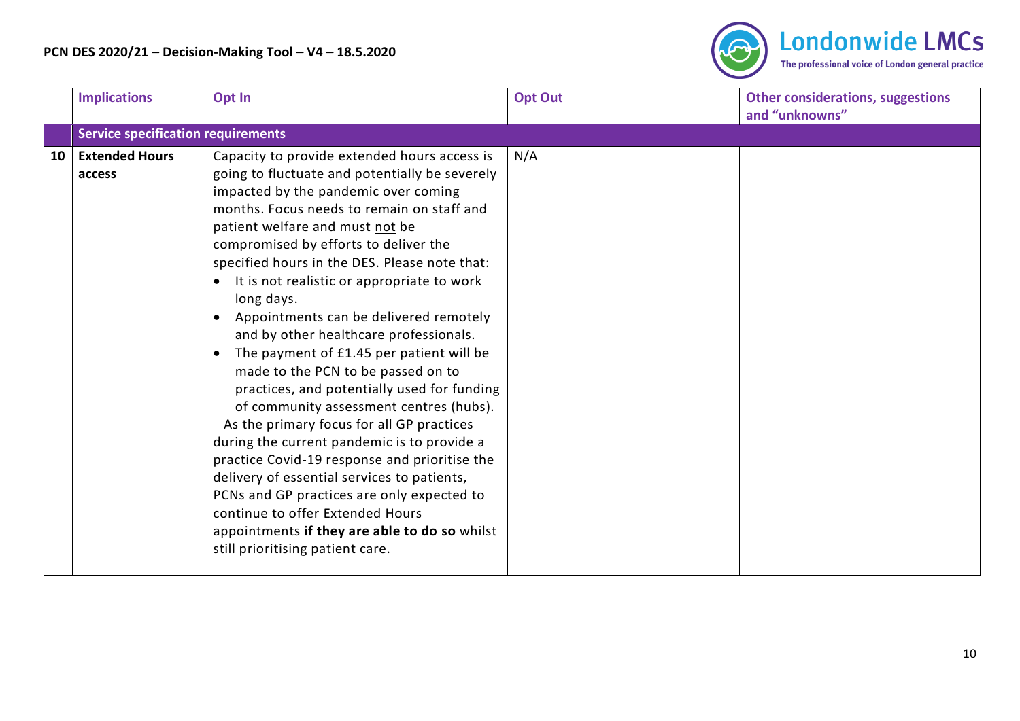

|    | <b>Implications</b>                       | Opt In                                                                                                                                                                                                                                                                                                                                                                                                                                                                                                                                                                                                                                                                                                                                                                                                                                                                                                                                                                                                           | <b>Opt Out</b> | <b>Other considerations, suggestions</b><br>and "unknowns" |
|----|-------------------------------------------|------------------------------------------------------------------------------------------------------------------------------------------------------------------------------------------------------------------------------------------------------------------------------------------------------------------------------------------------------------------------------------------------------------------------------------------------------------------------------------------------------------------------------------------------------------------------------------------------------------------------------------------------------------------------------------------------------------------------------------------------------------------------------------------------------------------------------------------------------------------------------------------------------------------------------------------------------------------------------------------------------------------|----------------|------------------------------------------------------------|
|    | <b>Service specification requirements</b> |                                                                                                                                                                                                                                                                                                                                                                                                                                                                                                                                                                                                                                                                                                                                                                                                                                                                                                                                                                                                                  |                |                                                            |
| 10 | <b>Extended Hours</b><br>access           | Capacity to provide extended hours access is<br>going to fluctuate and potentially be severely<br>impacted by the pandemic over coming<br>months. Focus needs to remain on staff and<br>patient welfare and must not be<br>compromised by efforts to deliver the<br>specified hours in the DES. Please note that:<br>It is not realistic or appropriate to work<br>long days.<br>Appointments can be delivered remotely<br>and by other healthcare professionals.<br>The payment of £1.45 per patient will be<br>made to the PCN to be passed on to<br>practices, and potentially used for funding<br>of community assessment centres (hubs).<br>As the primary focus for all GP practices<br>during the current pandemic is to provide a<br>practice Covid-19 response and prioritise the<br>delivery of essential services to patients,<br>PCNs and GP practices are only expected to<br>continue to offer Extended Hours<br>appointments if they are able to do so whilst<br>still prioritising patient care. | N/A            |                                                            |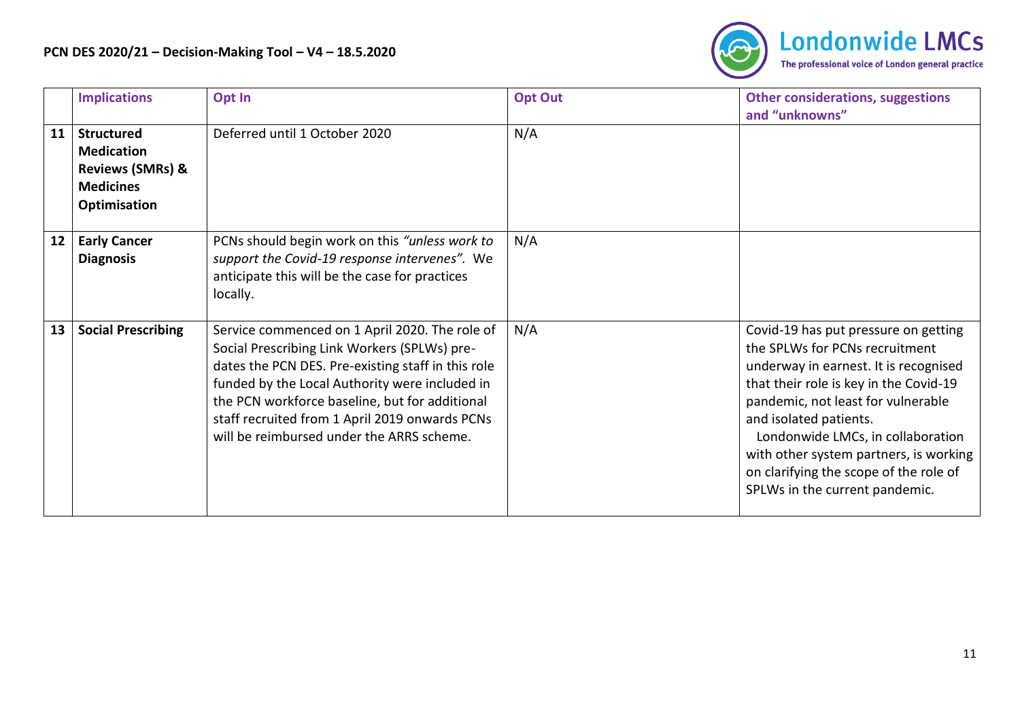

|    | <b>Implications</b>                                                                                       | Opt In                                                                                                                                                                                                                                                                                                                                                  | <b>Opt Out</b> | <b>Other considerations, suggestions</b><br>and "unknowns"                                                                                                                                                                                                                                                                                                                           |
|----|-----------------------------------------------------------------------------------------------------------|---------------------------------------------------------------------------------------------------------------------------------------------------------------------------------------------------------------------------------------------------------------------------------------------------------------------------------------------------------|----------------|--------------------------------------------------------------------------------------------------------------------------------------------------------------------------------------------------------------------------------------------------------------------------------------------------------------------------------------------------------------------------------------|
| 11 | <b>Structured</b><br><b>Medication</b><br><b>Reviews (SMRs) &amp;</b><br><b>Medicines</b><br>Optimisation | Deferred until 1 October 2020                                                                                                                                                                                                                                                                                                                           | N/A            |                                                                                                                                                                                                                                                                                                                                                                                      |
| 12 | <b>Early Cancer</b><br><b>Diagnosis</b>                                                                   | PCNs should begin work on this "unless work to<br>support the Covid-19 response intervenes". We<br>anticipate this will be the case for practices<br>locally.                                                                                                                                                                                           | N/A            |                                                                                                                                                                                                                                                                                                                                                                                      |
| 13 | <b>Social Prescribing</b>                                                                                 | Service commenced on 1 April 2020. The role of<br>Social Prescribing Link Workers (SPLWs) pre-<br>dates the PCN DES. Pre-existing staff in this role<br>funded by the Local Authority were included in<br>the PCN workforce baseline, but for additional<br>staff recruited from 1 April 2019 onwards PCNs<br>will be reimbursed under the ARRS scheme. | N/A            | Covid-19 has put pressure on getting<br>the SPLWs for PCNs recruitment<br>underway in earnest. It is recognised<br>that their role is key in the Covid-19<br>pandemic, not least for vulnerable<br>and isolated patients.<br>Londonwide LMCs, in collaboration<br>with other system partners, is working<br>on clarifying the scope of the role of<br>SPLWs in the current pandemic. |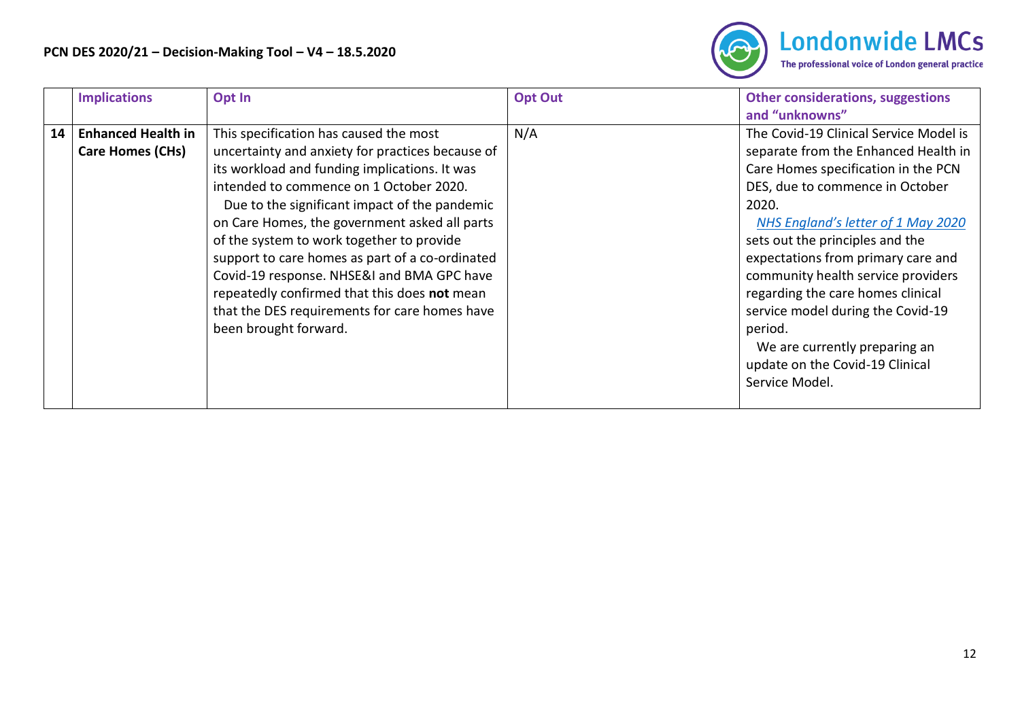

| <b>Implications</b>                                        | Opt In                                                                                                                                                                                                                                                                                                                                                                                                                                                                                                                                                           | <b>Opt Out</b> | <b>Other considerations, suggestions</b><br>and "unknowns"                                                                                                                                                                                                                                                                                                                                                                                                                                        |
|------------------------------------------------------------|------------------------------------------------------------------------------------------------------------------------------------------------------------------------------------------------------------------------------------------------------------------------------------------------------------------------------------------------------------------------------------------------------------------------------------------------------------------------------------------------------------------------------------------------------------------|----------------|---------------------------------------------------------------------------------------------------------------------------------------------------------------------------------------------------------------------------------------------------------------------------------------------------------------------------------------------------------------------------------------------------------------------------------------------------------------------------------------------------|
| <b>Enhanced Health in</b><br>14<br><b>Care Homes (CHs)</b> | This specification has caused the most<br>uncertainty and anxiety for practices because of<br>its workload and funding implications. It was<br>intended to commence on 1 October 2020.<br>Due to the significant impact of the pandemic<br>on Care Homes, the government asked all parts<br>of the system to work together to provide<br>support to care homes as part of a co-ordinated<br>Covid-19 response. NHSE&I and BMA GPC have<br>repeatedly confirmed that this does not mean<br>that the DES requirements for care homes have<br>been brought forward. | N/A            | The Covid-19 Clinical Service Model is<br>separate from the Enhanced Health in<br>Care Homes specification in the PCN<br>DES, due to commence in October<br>2020.<br>NHS England's letter of 1 May 2020<br>sets out the principles and the<br>expectations from primary care and<br>community health service providers<br>regarding the care homes clinical<br>service model during the Covid-19<br>period.<br>We are currently preparing an<br>update on the Covid-19 Clinical<br>Service Model. |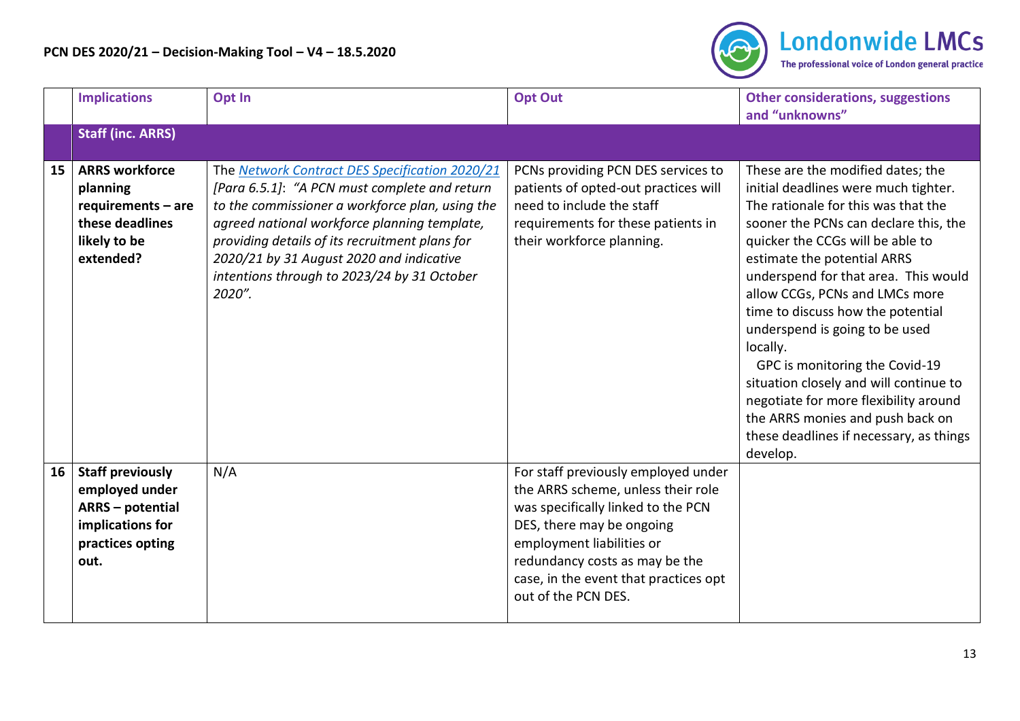

|    | <b>Implications</b>                                                                                                  | Opt In                                                                                                                                                                                                                                                                                                                                                    | <b>Opt Out</b>                                                                                                                                                                                                                                                              | <b>Other considerations, suggestions</b><br>and "unknowns"                                                                                                                                                                                                                                                                                                                                                                                                                                                                                                                                                |
|----|----------------------------------------------------------------------------------------------------------------------|-----------------------------------------------------------------------------------------------------------------------------------------------------------------------------------------------------------------------------------------------------------------------------------------------------------------------------------------------------------|-----------------------------------------------------------------------------------------------------------------------------------------------------------------------------------------------------------------------------------------------------------------------------|-----------------------------------------------------------------------------------------------------------------------------------------------------------------------------------------------------------------------------------------------------------------------------------------------------------------------------------------------------------------------------------------------------------------------------------------------------------------------------------------------------------------------------------------------------------------------------------------------------------|
|    | <b>Staff (inc. ARRS)</b>                                                                                             |                                                                                                                                                                                                                                                                                                                                                           |                                                                                                                                                                                                                                                                             |                                                                                                                                                                                                                                                                                                                                                                                                                                                                                                                                                                                                           |
| 15 | <b>ARRS workforce</b><br>planning<br>requirements - are<br>these deadlines<br>likely to be<br>extended?              | The Network Contract DES Specification 2020/21<br>[Para 6.5.1]: "A PCN must complete and return<br>to the commissioner a workforce plan, using the<br>agreed national workforce planning template,<br>providing details of its recruitment plans for<br>2020/21 by 31 August 2020 and indicative<br>intentions through to 2023/24 by 31 October<br>2020". | PCNs providing PCN DES services to<br>patients of opted-out practices will<br>need to include the staff<br>requirements for these patients in<br>their workforce planning.                                                                                                  | These are the modified dates; the<br>initial deadlines were much tighter.<br>The rationale for this was that the<br>sooner the PCNs can declare this, the<br>quicker the CCGs will be able to<br>estimate the potential ARRS<br>underspend for that area. This would<br>allow CCGs, PCNs and LMCs more<br>time to discuss how the potential<br>underspend is going to be used<br>locally.<br>GPC is monitoring the Covid-19<br>situation closely and will continue to<br>negotiate for more flexibility around<br>the ARRS monies and push back on<br>these deadlines if necessary, as things<br>develop. |
| 16 | <b>Staff previously</b><br>employed under<br><b>ARRS</b> - potential<br>implications for<br>practices opting<br>out. | N/A                                                                                                                                                                                                                                                                                                                                                       | For staff previously employed under<br>the ARRS scheme, unless their role<br>was specifically linked to the PCN<br>DES, there may be ongoing<br>employment liabilities or<br>redundancy costs as may be the<br>case, in the event that practices opt<br>out of the PCN DES. |                                                                                                                                                                                                                                                                                                                                                                                                                                                                                                                                                                                                           |